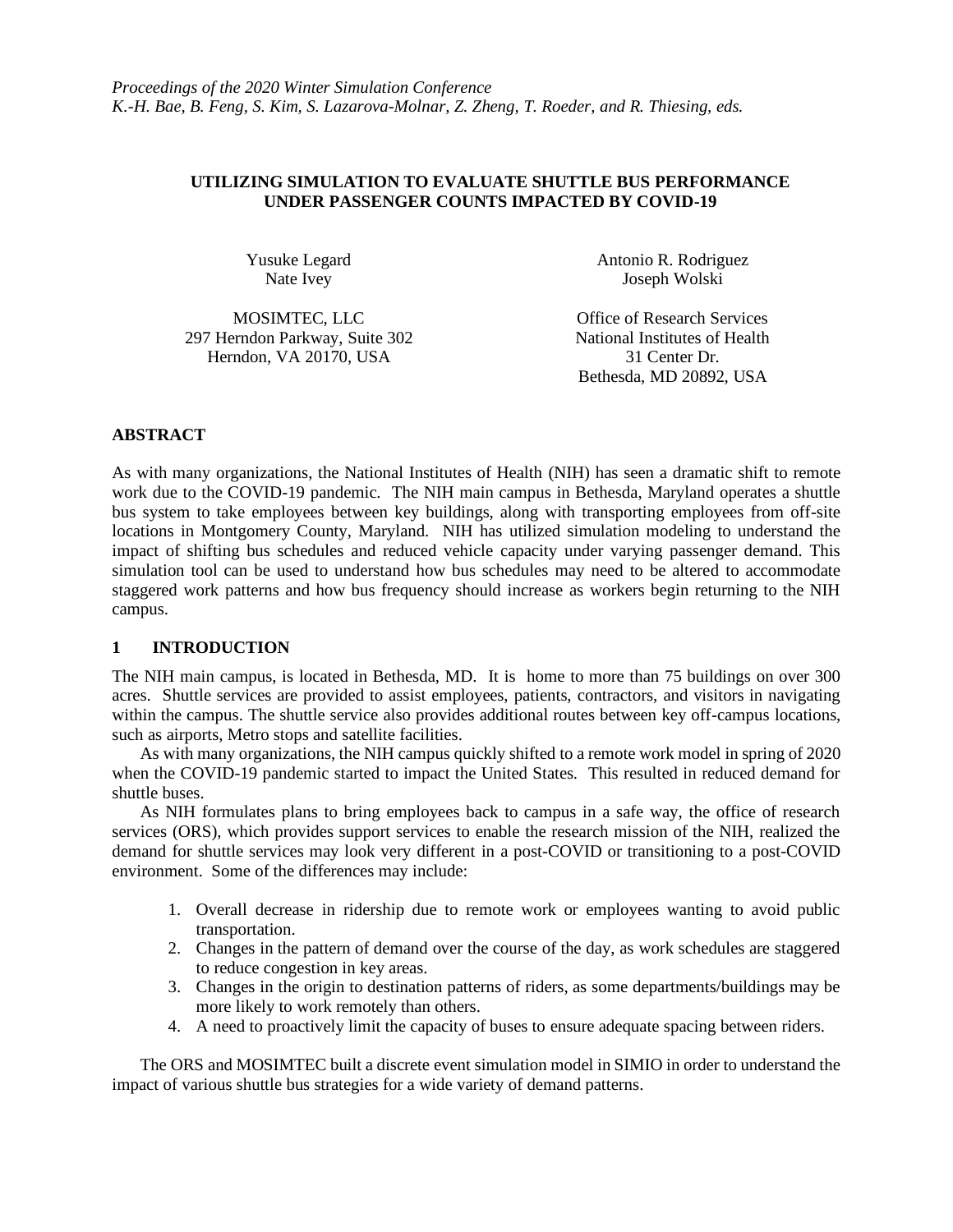# **UTILIZING SIMULATION TO EVALUATE SHUTTLE BUS PERFORMANCE UNDER PASSENGER COUNTS IMPACTED BY COVID-19**

Yusuke Legard Nate Ivey

297 Herndon Parkway, Suite 302 National Institutes of Health Herndon, VA 20170, USA 31 Center Dr.

Antonio R. Rodriguez Joseph Wolski

MOSIMTEC, LLC Office of Research Services Bethesda, MD 20892, USA

## **ABSTRACT**

As with many organizations, the National Institutes of Health (NIH) has seen a dramatic shift to remote work due to the COVID-19 pandemic. The NIH main campus in Bethesda, Maryland operates a shuttle bus system to take employees between key buildings, along with transporting employees from off-site locations in Montgomery County, Maryland. NIH has utilized simulation modeling to understand the impact of shifting bus schedules and reduced vehicle capacity under varying passenger demand. This simulation tool can be used to understand how bus schedules may need to be altered to accommodate staggered work patterns and how bus frequency should increase as workers begin returning to the NIH campus.

## **1 INTRODUCTION**

The NIH main campus, is located in Bethesda, MD. It is home to more than 75 buildings on over 300 acres. Shuttle services are provided to assist employees, patients, contractors, and visitors in navigating within the campus. The shuttle service also provides additional routes between key off-campus locations, such as airports, Metro stops and satellite facilities.

As with many organizations, the NIH campus quickly shifted to a remote work model in spring of 2020 when the COVID-19 pandemic started to impact the United States. This resulted in reduced demand for shuttle buses.

As NIH formulates plans to bring employees back to campus in a safe way, the office of research services (ORS), which provides support services to enable the research mission of the NIH, realized the demand for shuttle services may look very different in a post-COVID or transitioning to a post-COVID environment. Some of the differences may include:

- 1. Overall decrease in ridership due to remote work or employees wanting to avoid public transportation.
- 2. Changes in the pattern of demand over the course of the day, as work schedules are staggered to reduce congestion in key areas.
- 3. Changes in the origin to destination patterns of riders, as some departments/buildings may be more likely to work remotely than others.
- 4. A need to proactively limit the capacity of buses to ensure adequate spacing between riders.

The ORS and MOSIMTEC built a discrete event simulation model in SIMIO in order to understand the impact of various shuttle bus strategies for a wide variety of demand patterns.